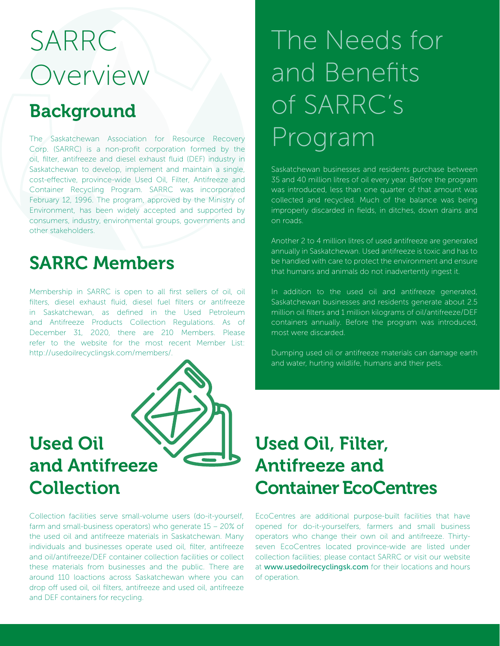## SARRC **Overview**

### Background

The Saskatchewan Association for Resource Recovery Corp. (SARRC) is a non-profit corporation formed by the oil, filter, antifreeze and diesel exhaust fluid (DEF) industry in Saskatchewan to develop, implement and maintain a single, cost-effective, province-wide Used Oil, Filter, Antifreeze and Container Recycling Program. SARRC was incorporated February 12, 1996. The program, approved by the Ministry of Environment, has been widely accepted and supported by consumers, industry, environmental groups, governments and other stakeholders.

### SARRC Members

Membership in SARRC is open to all first sellers of oil, oil filters, diesel exhaust fluid, diesel fuel filters or antifreeze in Saskatchewan, as defined in the Used Petroleum and Antifreeze Products Collection Regulations. As of December 31, 2020, there are 210 Members. Please refer to the website for the most recent Member List: http://usedoilrecyclingsk.com/members/.



Collection facilities serve small-volume users (do-it-yourself, farm and small-business operators) who generate 15 – 20% of the used oil and antifreeze materials in Saskatchewan. Many individuals and businesses operate used oil, filter, antifreeze and oil/antifreeze/DEF container collection facilities or collect these materials from businesses and the public. There are around 110 loactions across Saskatchewan where you can drop off used oil, oil filters, antifreeze and used oil, antifreeze and DEF containers for recycling.

## The Needs for and Benefits of SARRC's Program

Saskatchewan businesses and residents purchase between 35 and 40 million litres of oil every year. Before the program was introduced, less than one quarter of that amount was collected and recycled. Much of the balance was being improperly discarded in fields, in ditches, down drains and on roads.

Another 2 to 4 million litres of used antifreeze are generated annually in Saskatchewan. Used antifreeze is toxic and has to be handled with care to protect the environment and ensure that humans and animals do not inadvertently ingest it.

In addition to the used oil and antifreeze generated, Saskatchewan businesses and residents generate about 2.5 million oil filters and 1 million kilograms of oil/antifreeze/DEF containers annually. Before the program was introduced, most were discarded.

Dumping used oil or antifreeze materials can damage earth and water, hurting wildlife, humans and their pets.

### Used Oil, Filter, Antifreeze and Container EcoCentres

EcoCentres are additional purpose-built facilities that have opened for do-it-yourselfers, farmers and small business operators who change their own oil and antifreeze. Thirtyseven EcoCentres located province-wide are listed under collection facilities; please contact SARRC or visit our website at www.usedoilrecyclingsk.com for their locations and hours of operation.